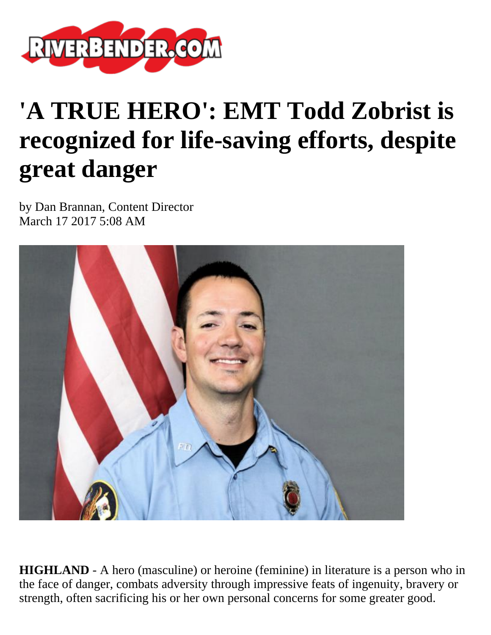

## **'A TRUE HERO': EMT Todd Zobrist is recognized for life-saving efforts, despite great danger**

by Dan Brannan, Content Director March 17 2017 5:08 AM



**HIGHLAND** - A hero (masculine) or heroine (feminine) in literature is a person who in the face of danger, combats adversity through impressive feats of ingenuity, bravery or strength, often sacrificing his or her own personal concerns for some greater good.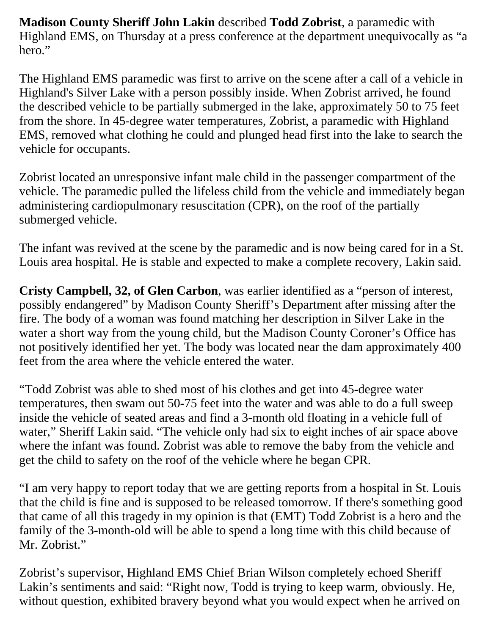**Madison County Sheriff John Lakin** described **Todd Zobrist**, a paramedic with Highland EMS, on Thursday at a press conference at the department unequivocally as "a hero."

The Highland EMS paramedic was first to arrive on the scene after a call of a vehicle in Highland's Silver Lake with a person possibly inside. When Zobrist arrived, he found the described vehicle to be partially submerged in the lake, approximately 50 to 75 feet from the shore. In 45-degree water temperatures, Zobrist, a paramedic with Highland EMS, removed what clothing he could and plunged head first into the lake to search the vehicle for occupants.

Zobrist located an unresponsive infant male child in the passenger compartment of the vehicle. The paramedic pulled the lifeless child from the vehicle and immediately began administering cardiopulmonary resuscitation (CPR), on the roof of the partially submerged vehicle.

The infant was revived at the scene by the paramedic and is now being cared for in a St. Louis area hospital. He is stable and expected to make a complete recovery, Lakin said.

**Cristy Campbell, 32, of Glen Carbon**, was earlier identified as a "person of interest, possibly endangered" by Madison County Sheriff's Department after missing after the fire. The body of a woman was found matching her description in Silver Lake in the water a short way from the young child, but the Madison County Coroner's Office has not positively identified her yet. The body was located near the dam approximately 400 feet from the area where the vehicle entered the water.

"Todd Zobrist was able to shed most of his clothes and get into 45-degree water temperatures, then swam out 50-75 feet into the water and was able to do a full sweep inside the vehicle of seated areas and find a 3-month old floating in a vehicle full of water," Sheriff Lakin said. "The vehicle only had six to eight inches of air space above where the infant was found. Zobrist was able to remove the baby from the vehicle and get the child to safety on the roof of the vehicle where he began CPR.

"I am very happy to report today that we are getting reports from a hospital in St. Louis that the child is fine and is supposed to be released tomorrow. If there's something good that came of all this tragedy in my opinion is that (EMT) Todd Zobrist is a hero and the family of the 3-month-old will be able to spend a long time with this child because of Mr. Zobrist."

Zobrist's supervisor, Highland EMS Chief Brian Wilson completely echoed Sheriff Lakin's sentiments and said: "Right now, Todd is trying to keep warm, obviously. He, without question, exhibited bravery beyond what you would expect when he arrived on